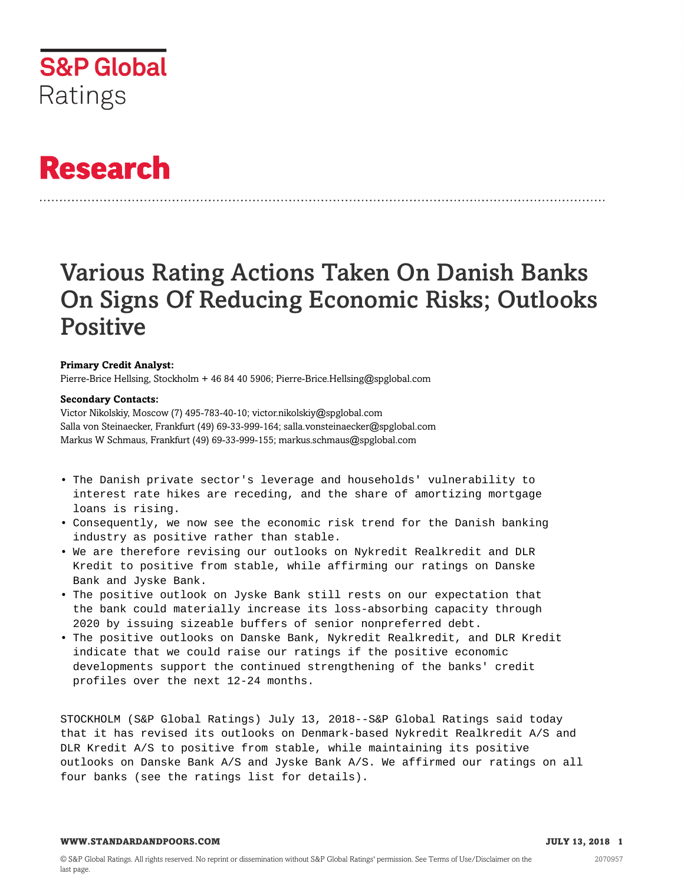

# **Research**

# Various Rating Actions Taken On Danish Banks On Signs Of Reducing Economic Risks; Outlooks Positive

# **Primary Credit Analyst:**

Pierre-Brice Hellsing, Stockholm + 46 84 40 5906; Pierre-Brice.Hellsing@spglobal.com

#### **Secondary Contacts:**

Victor Nikolskiy, Moscow (7) 495-783-40-10; victor.nikolskiy@spglobal.com Salla von Steinaecker, Frankfurt (49) 69-33-999-164; salla.vonsteinaecker@spglobal.com Markus W Schmaus, Frankfurt (49) 69-33-999-155; markus.schmaus@spglobal.com

- The Danish private sector's leverage and households' vulnerability to interest rate hikes are receding, and the share of amortizing mortgage loans is rising.
- Consequently, we now see the economic risk trend for the Danish banking industry as positive rather than stable.
- We are therefore revising our outlooks on Nykredit Realkredit and DLR Kredit to positive from stable, while affirming our ratings on Danske Bank and Jyske Bank.
- The positive outlook on Jyske Bank still rests on our expectation that the bank could materially increase its loss-absorbing capacity through 2020 by issuing sizeable buffers of senior nonpreferred debt.
- The positive outlooks on Danske Bank, Nykredit Realkredit, and DLR Kredit indicate that we could raise our ratings if the positive economic developments support the continued strengthening of the banks' credit profiles over the next 12-24 months.

STOCKHOLM (S&P Global Ratings) July 13, 2018--S&P Global Ratings said today that it has revised its outlooks on Denmark-based Nykredit Realkredit A/S and DLR Kredit A/S to positive from stable, while maintaining its positive outlooks on Danske Bank A/S and Jyske Bank A/S. We affirmed our ratings on all four banks (see the ratings list for details).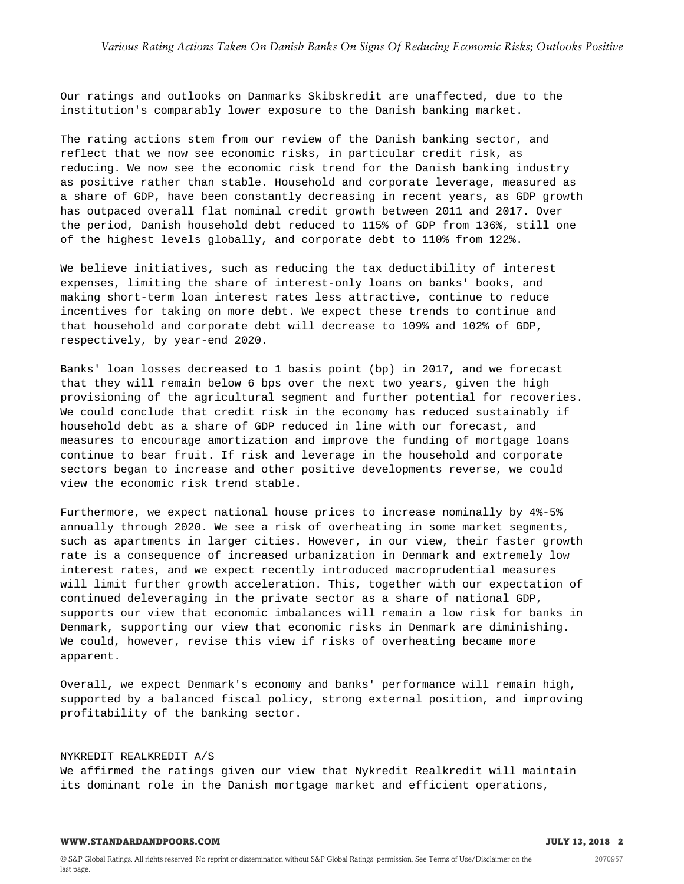Our ratings and outlooks on Danmarks Skibskredit are unaffected, due to the institution's comparably lower exposure to the Danish banking market.

The rating actions stem from our review of the Danish banking sector, and reflect that we now see economic risks, in particular credit risk, as reducing. We now see the economic risk trend for the Danish banking industry as positive rather than stable. Household and corporate leverage, measured as a share of GDP, have been constantly decreasing in recent years, as GDP growth has outpaced overall flat nominal credit growth between 2011 and 2017. Over the period, Danish household debt reduced to 115% of GDP from 136%, still one of the highest levels globally, and corporate debt to 110% from 122%.

We believe initiatives, such as reducing the tax deductibility of interest expenses, limiting the share of interest-only loans on banks' books, and making short-term loan interest rates less attractive, continue to reduce incentives for taking on more debt. We expect these trends to continue and that household and corporate debt will decrease to 109% and 102% of GDP, respectively, by year-end 2020.

Banks' loan losses decreased to 1 basis point (bp) in 2017, and we forecast that they will remain below 6 bps over the next two years, given the high provisioning of the agricultural segment and further potential for recoveries. We could conclude that credit risk in the economy has reduced sustainably if household debt as a share of GDP reduced in line with our forecast, and measures to encourage amortization and improve the funding of mortgage loans continue to bear fruit. If risk and leverage in the household and corporate sectors began to increase and other positive developments reverse, we could view the economic risk trend stable.

Furthermore, we expect national house prices to increase nominally by 4%-5% annually through 2020. We see a risk of overheating in some market segments, such as apartments in larger cities. However, in our view, their faster growth rate is a consequence of increased urbanization in Denmark and extremely low interest rates, and we expect recently introduced macroprudential measures will limit further growth acceleration. This, together with our expectation of continued deleveraging in the private sector as a share of national GDP, supports our view that economic imbalances will remain a low risk for banks in Denmark, supporting our view that economic risks in Denmark are diminishing. We could, however, revise this view if risks of overheating became more apparent.

Overall, we expect Denmark's economy and banks' performance will remain high, supported by a balanced fiscal policy, strong external position, and improving profitability of the banking sector.

#### NYKREDIT REALKREDIT A/S

We affirmed the ratings given our view that Nykredit Realkredit will maintain its dominant role in the Danish mortgage market and efficient operations,

#### **WWW.STANDARDANDPOORS.COM JULY 13, 2018 2**

2070957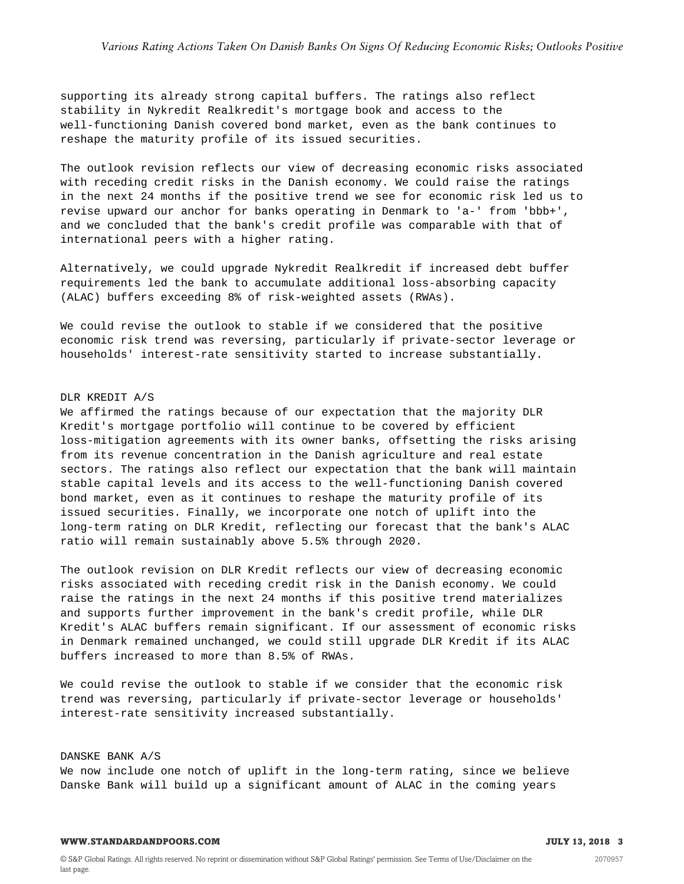supporting its already strong capital buffers. The ratings also reflect stability in Nykredit Realkredit's mortgage book and access to the well-functioning Danish covered bond market, even as the bank continues to reshape the maturity profile of its issued securities.

The outlook revision reflects our view of decreasing economic risks associated with receding credit risks in the Danish economy. We could raise the ratings in the next 24 months if the positive trend we see for economic risk led us to revise upward our anchor for banks operating in Denmark to 'a-' from 'bbb+', and we concluded that the bank's credit profile was comparable with that of international peers with a higher rating.

Alternatively, we could upgrade Nykredit Realkredit if increased debt buffer requirements led the bank to accumulate additional loss-absorbing capacity (ALAC) buffers exceeding 8% of risk-weighted assets (RWAs).

We could revise the outlook to stable if we considered that the positive economic risk trend was reversing, particularly if private-sector leverage or households' interest-rate sensitivity started to increase substantially.

#### DLR KREDIT A/S

We affirmed the ratings because of our expectation that the majority DLR Kredit's mortgage portfolio will continue to be covered by efficient loss-mitigation agreements with its owner banks, offsetting the risks arising from its revenue concentration in the Danish agriculture and real estate sectors. The ratings also reflect our expectation that the bank will maintain stable capital levels and its access to the well-functioning Danish covered bond market, even as it continues to reshape the maturity profile of its issued securities. Finally, we incorporate one notch of uplift into the long-term rating on DLR Kredit, reflecting our forecast that the bank's ALAC ratio will remain sustainably above 5.5% through 2020.

The outlook revision on DLR Kredit reflects our view of decreasing economic risks associated with receding credit risk in the Danish economy. We could raise the ratings in the next 24 months if this positive trend materializes and supports further improvement in the bank's credit profile, while DLR Kredit's ALAC buffers remain significant. If our assessment of economic risks in Denmark remained unchanged, we could still upgrade DLR Kredit if its ALAC buffers increased to more than 8.5% of RWAs.

We could revise the outlook to stable if we consider that the economic risk trend was reversing, particularly if private-sector leverage or households' interest-rate sensitivity increased substantially.

DANSKE BANK A/S We now include one notch of uplift in the long-term rating, since we believe Danske Bank will build up a significant amount of ALAC in the coming years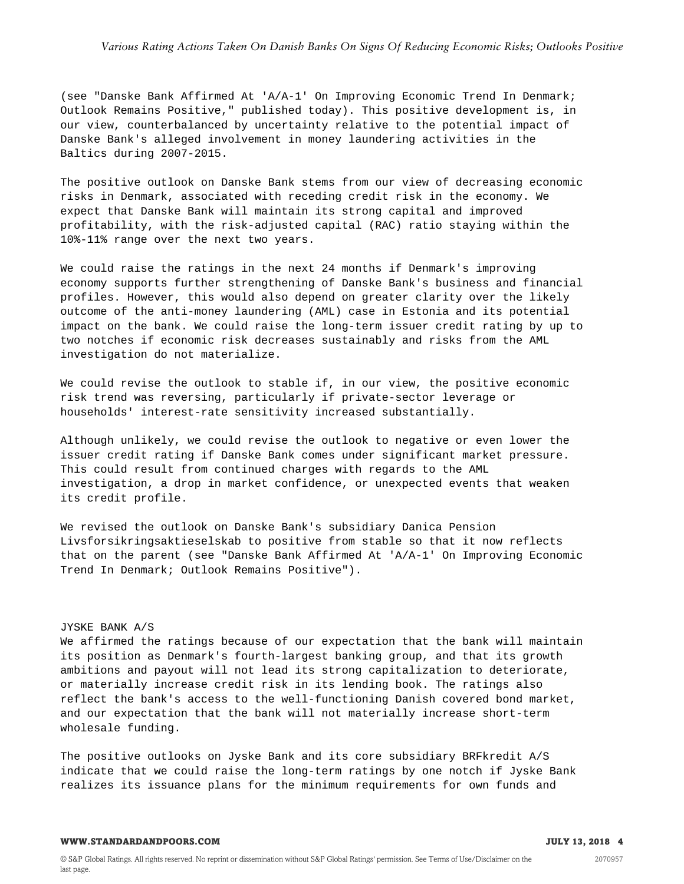(see "Danske Bank Affirmed At 'A/A-1' On Improving Economic Trend In Denmark; Outlook Remains Positive," published today). This positive development is, in our view, counterbalanced by uncertainty relative to the potential impact of Danske Bank's alleged involvement in money laundering activities in the Baltics during 2007-2015.

The positive outlook on Danske Bank stems from our view of decreasing economic risks in Denmark, associated with receding credit risk in the economy. We expect that Danske Bank will maintain its strong capital and improved profitability, with the risk-adjusted capital (RAC) ratio staying within the 10%-11% range over the next two years.

We could raise the ratings in the next 24 months if Denmark's improving economy supports further strengthening of Danske Bank's business and financial profiles. However, this would also depend on greater clarity over the likely outcome of the anti-money laundering (AML) case in Estonia and its potential impact on the bank. We could raise the long-term issuer credit rating by up to two notches if economic risk decreases sustainably and risks from the AML investigation do not materialize.

We could revise the outlook to stable if, in our view, the positive economic risk trend was reversing, particularly if private-sector leverage or households' interest-rate sensitivity increased substantially.

Although unlikely, we could revise the outlook to negative or even lower the issuer credit rating if Danske Bank comes under significant market pressure. This could result from continued charges with regards to the AML investigation, a drop in market confidence, or unexpected events that weaken its credit profile.

We revised the outlook on Danske Bank's subsidiary Danica Pension Livsforsikringsaktieselskab to positive from stable so that it now reflects that on the parent (see "Danske Bank Affirmed At 'A/A-1' On Improving Economic Trend In Denmark; Outlook Remains Positive").

#### JYSKE BANK A/S

We affirmed the ratings because of our expectation that the bank will maintain its position as Denmark's fourth-largest banking group, and that its growth ambitions and payout will not lead its strong capitalization to deteriorate, or materially increase credit risk in its lending book. The ratings also reflect the bank's access to the well-functioning Danish covered bond market, and our expectation that the bank will not materially increase short-term wholesale funding.

The positive outlooks on Jyske Bank and its core subsidiary BRFkredit A/S indicate that we could raise the long-term ratings by one notch if Jyske Bank realizes its issuance plans for the minimum requirements for own funds and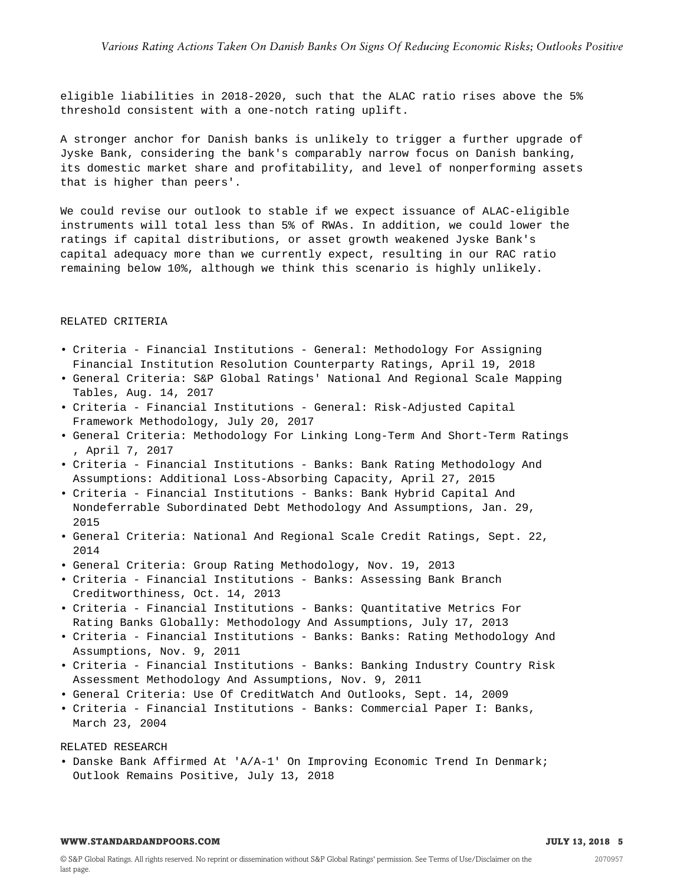eligible liabilities in 2018-2020, such that the ALAC ratio rises above the 5% threshold consistent with a one-notch rating uplift.

A stronger anchor for Danish banks is unlikely to trigger a further upgrade of Jyske Bank, considering the bank's comparably narrow focus on Danish banking, its domestic market share and profitability, and level of nonperforming assets that is higher than peers'.

We could revise our outlook to stable if we expect issuance of ALAC-eligible instruments will total less than 5% of RWAs. In addition, we could lower the ratings if capital distributions, or asset growth weakened Jyske Bank's capital adequacy more than we currently expect, resulting in our RAC ratio remaining below 10%, although we think this scenario is highly unlikely.

#### RELATED CRITERIA

- Criteria Financial Institutions General: Methodology For Assigning Financial Institution Resolution Counterparty Ratings, April 19, 2018
- General Criteria: S&P Global Ratings' National And Regional Scale Mapping Tables, Aug. 14, 2017
- Criteria Financial Institutions General: Risk-Adjusted Capital Framework Methodology, July 20, 2017
- General Criteria: Methodology For Linking Long-Term And Short-Term Ratings , April 7, 2017
- Criteria Financial Institutions Banks: Bank Rating Methodology And Assumptions: Additional Loss-Absorbing Capacity, April 27, 2015
- Criteria Financial Institutions Banks: Bank Hybrid Capital And Nondeferrable Subordinated Debt Methodology And Assumptions, Jan. 29, 2015
- General Criteria: National And Regional Scale Credit Ratings, Sept. 22, 2014
- General Criteria: Group Rating Methodology, Nov. 19, 2013
- Criteria Financial Institutions Banks: Assessing Bank Branch Creditworthiness, Oct. 14, 2013
- Criteria Financial Institutions Banks: Quantitative Metrics For Rating Banks Globally: Methodology And Assumptions, July 17, 2013
- Criteria Financial Institutions Banks: Banks: Rating Methodology And Assumptions, Nov. 9, 2011
- Criteria Financial Institutions Banks: Banking Industry Country Risk Assessment Methodology And Assumptions, Nov. 9, 2011
- General Criteria: Use Of CreditWatch And Outlooks, Sept. 14, 2009
- Criteria Financial Institutions Banks: Commercial Paper I: Banks, March 23, 2004

RELATED RESEARCH

• Danske Bank Affirmed At 'A/A-1' On Improving Economic Trend In Denmark; Outlook Remains Positive, July 13, 2018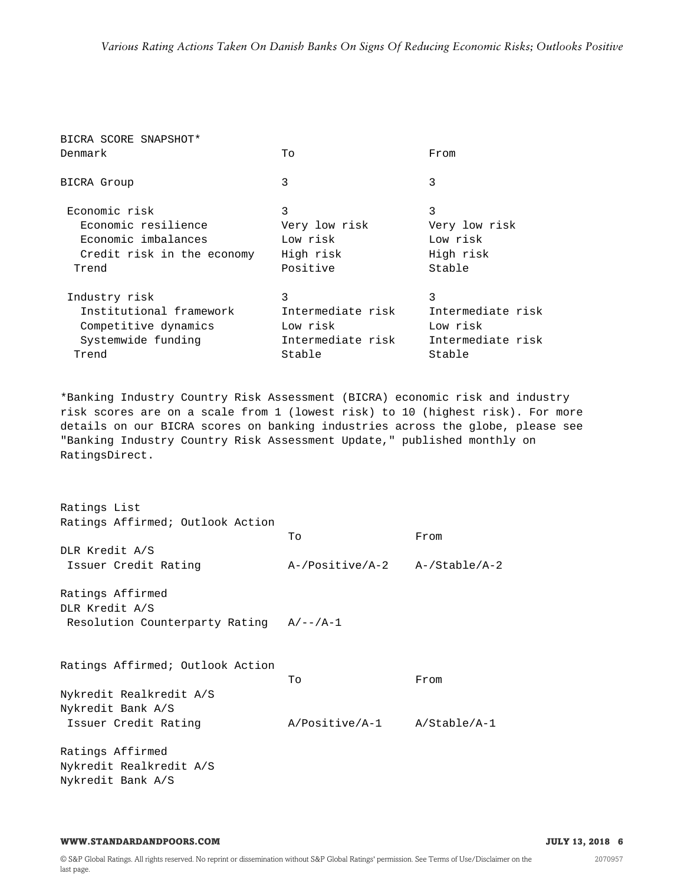| BICRA SCORE SNAPSHOT*      |                   |                   |
|----------------------------|-------------------|-------------------|
| Denmark                    | To                | From              |
| BICRA Group                | 3                 | 3                 |
| Economic risk              | 3                 | 3                 |
| Economic resilience        | Very low risk     | Very low risk     |
| Economic imbalances        | Low risk          | Low risk          |
| Credit risk in the economy | High risk         | High risk         |
| Trend                      | Positive          | Stable            |
| Industry risk              | 3                 | 3                 |
| Institutional framework    | Intermediate risk | Intermediate risk |
| Competitive dynamics       | Low risk          | Low risk          |
| Systemwide funding         | Intermediate risk | Intermediate risk |
| Trend                      | Stable            | Stable            |

\*Banking Industry Country Risk Assessment (BICRA) economic risk and industry risk scores are on a scale from 1 (lowest risk) to 10 (highest risk). For more details on our BICRA scores on banking industries across the globe, please see "Banking Industry Country Risk Assessment Update," published monthly on RatingsDirect.

| Ratings List                             |                                     |      |
|------------------------------------------|-------------------------------------|------|
| Ratings Affirmed; Outlook Action         |                                     |      |
|                                          | To                                  | From |
| DLR Kredit A/S                           |                                     |      |
| Issuer Credit Rating                     | $A$ -/Positive/A-2 $A$ -/Stable/A-2 |      |
| Ratings Affirmed                         |                                     |      |
| DLR Kredit A/S                           |                                     |      |
| Resolution Counterparty Rating $A/-/A-1$ |                                     |      |
|                                          |                                     |      |
| Ratings Affirmed; Outlook Action         |                                     |      |
|                                          | To                                  | From |
| Nykredit Realkredit A/S                  |                                     |      |
| Nykredit Bank A/S                        |                                     |      |
| Issuer Credit Rating                     | $A/Positive/A-1$ $A/Stable/A-1$     |      |
| Ratings Affirmed                         |                                     |      |
| Nykredit Realkredit A/S                  |                                     |      |
| Nykredit Bank A/S                        |                                     |      |

# **WWW.STANDARDANDPOORS.COM JULY 13, 2018 6**

2070957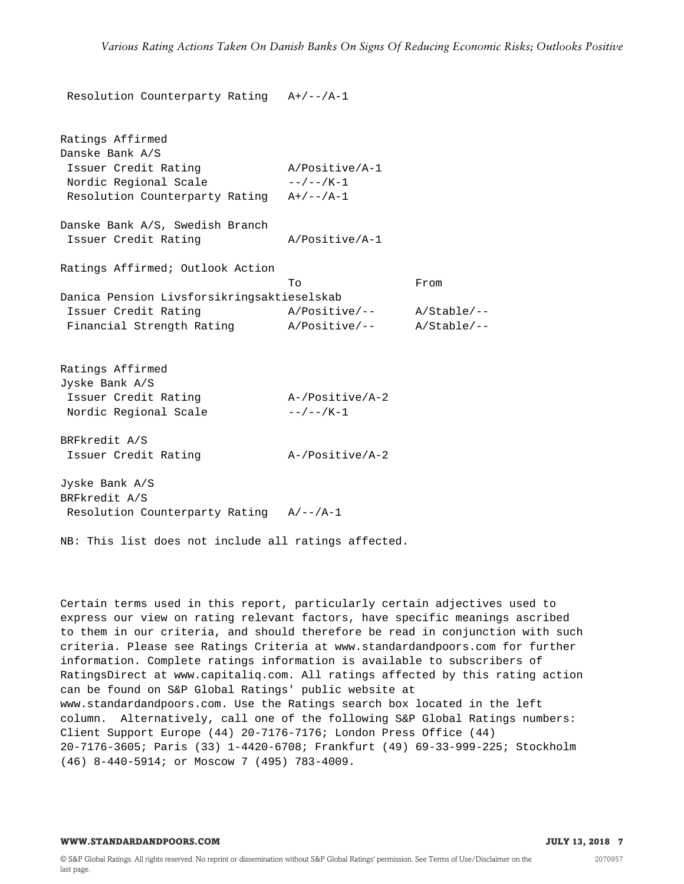Resolution Counterparty Rating A+/--/A-1 Ratings Affirmed Danske Bank A/S Issuer Credit Rating Manuel A/Positive/A-1 Nordic Regional Scale  $---/K-1$ Resolution Counterparty Rating A+/--/A-1 Danske Bank A/S, Swedish Branch Issuer Credit Rating A/Positive/A-1 Ratings Affirmed; Outlook Action To From Danica Pension Livsforsikringsaktieselskab Issuer Credit Rating A/Positive/-- A/Stable/-- Financial Strength Rating A/Positive/-- A/Stable/-- Ratings Affirmed Jyske Bank A/S Issuer Credit Rating A-/Positive/A-2 Nordic Regional Scale --/--/K-1 BRFkredit A/S Issuer Credit Rating A-/Positive/A-2 Jyske Bank A/S BRFkredit A/S

Resolution Counterparty Rating A/--/A-1

NB: This list does not include all ratings affected.

Certain terms used in this report, particularly certain adjectives used to express our view on rating relevant factors, have specific meanings ascribed to them in our criteria, and should therefore be read in conjunction with such criteria. Please see Ratings Criteria at www.standardandpoors.com for further information. Complete ratings information is available to subscribers of RatingsDirect at www.capitaliq.com. All ratings affected by this rating action can be found on S&P Global Ratings' public website at www.standardandpoors.com. Use the Ratings search box located in the left column. Alternatively, call one of the following S&P Global Ratings numbers: Client Support Europe (44) 20-7176-7176; London Press Office (44) 20-7176-3605; Paris (33) 1-4420-6708; Frankfurt (49) 69-33-999-225; Stockholm (46) 8-440-5914; or Moscow 7 (495) 783-4009.